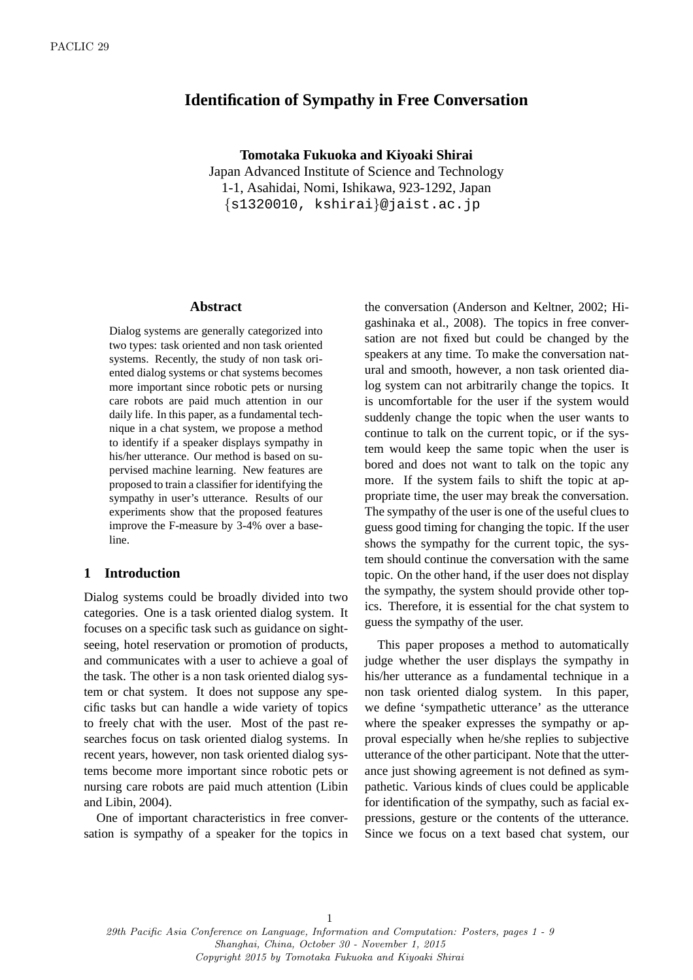# **Identification of Sympathy in Free Conversation**

**Tomotaka Fukuoka and Kiyoaki Shirai** Japan Advanced Institute of Science and Technology 1-1, Asahidai, Nomi, Ishikawa, 923-1292, Japan *{*s1320010, kshirai*}*@jaist.ac.jp

#### **Abstract**

Dialog systems are generally categorized into two types: task oriented and non task oriented systems. Recently, the study of non task oriented dialog systems or chat systems becomes more important since robotic pets or nursing care robots are paid much attention in our daily life. In this paper, as a fundamental technique in a chat system, we propose a method to identify if a speaker displays sympathy in his/her utterance. Our method is based on supervised machine learning. New features are proposed to train a classifier for identifying the sympathy in user's utterance. Results of our experiments show that the proposed features improve the F-measure by 3-4% over a baseline.

## **1 Introduction**

Dialog systems could be broadly divided into two categories. One is a task oriented dialog system. It focuses on a specific task such as guidance on sightseeing, hotel reservation or promotion of products, and communicates with a user to achieve a goal of the task. The other is a non task oriented dialog system or chat system. It does not suppose any specific tasks but can handle a wide variety of topics to freely chat with the user. Most of the past researches focus on task oriented dialog systems. In recent years, however, non task oriented dialog systems become more important since robotic pets or nursing care robots are paid much attention (Libin and Libin, 2004).

One of important characteristics in free conversation is sympathy of a speaker for the topics in

the conversation (Anderson and Keltner, 2002; Higashinaka et al., 2008). The topics in free conversation are not fixed but could be changed by the speakers at any time. To make the conversation natural and smooth, however, a non task oriented dialog system can not arbitrarily change the topics. It is uncomfortable for the user if the system would suddenly change the topic when the user wants to continue to talk on the current topic, or if the system would keep the same topic when the user is bored and does not want to talk on the topic any more. If the system fails to shift the topic at appropriate time, the user may break the conversation. The sympathy of the user is one of the useful clues to guess good timing for changing the topic. If the user shows the sympathy for the current topic, the system should continue the conversation with the same topic. On the other hand, if the user does not display the sympathy, the system should provide other topics. Therefore, it is essential for the chat system to guess the sympathy of the user.

This paper proposes a method to automatically judge whether the user displays the sympathy in his/her utterance as a fundamental technique in a non task oriented dialog system. In this paper, we define 'sympathetic utterance' as the utterance where the speaker expresses the sympathy or approval especially when he/she replies to subjective utterance of the other participant. Note that the utterance just showing agreement is not defined as sympathetic. Various kinds of clues could be applicable for identification of the sympathy, such as facial expressions, gesture or the contents of the utterance. Since we focus on a text based chat system, our

29th Pacific Asia Conference on Language, Information and Computation: Posters, pages 1 - 9 Shanghai, China, October 30 - November 1, 2015 Copyright 2015 by Tomotaka Fukuoka and Kiyoaki Shirai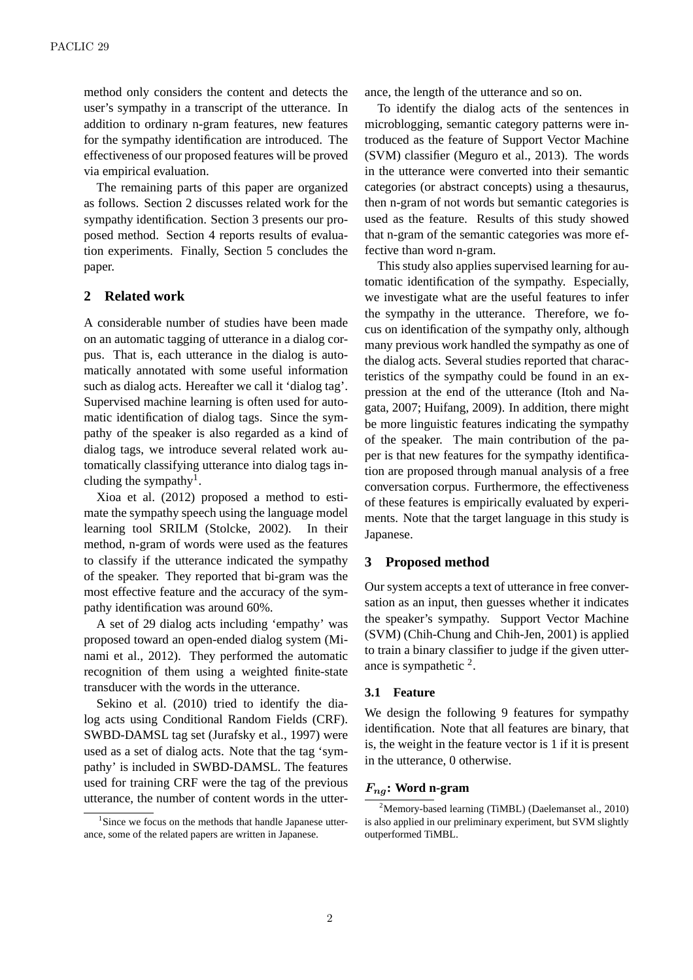method only considers the content and detects the user's sympathy in a transcript of the utterance. In addition to ordinary n-gram features, new features for the sympathy identification are introduced. The effectiveness of our proposed features will be proved via empirical evaluation.

The remaining parts of this paper are organized as follows. Section 2 discusses related work for the sympathy identification. Section 3 presents our proposed method. Section 4 reports results of evaluation experiments. Finally, Section 5 concludes the paper.

## **2 Related work**

A considerable number of studies have been made on an automatic tagging of utterance in a dialog corpus. That is, each utterance in the dialog is automatically annotated with some useful information such as dialog acts. Hereafter we call it 'dialog tag'. Supervised machine learning is often used for automatic identification of dialog tags. Since the sympathy of the speaker is also regarded as a kind of dialog tags, we introduce several related work automatically classifying utterance into dialog tags including the sympathy<sup>1</sup>.

Xioa et al. (2012) proposed a method to estimate the sympathy speech using the language model learning tool SRILM (Stolcke, 2002). In their method, n-gram of words were used as the features to classify if the utterance indicated the sympathy of the speaker. They reported that bi-gram was the most effective feature and the accuracy of the sympathy identification was around 60%.

A set of 29 dialog acts including 'empathy' was proposed toward an open-ended dialog system (Minami et al., 2012). They performed the automatic recognition of them using a weighted finite-state transducer with the words in the utterance.

Sekino et al. (2010) tried to identify the dialog acts using Conditional Random Fields (CRF). SWBD-DAMSL tag set (Jurafsky et al., 1997) were used as a set of dialog acts. Note that the tag 'sympathy' is included in SWBD-DAMSL. The features used for training CRF were the tag of the previous utterance, the number of content words in the utterance, the length of the utterance and so on.

To identify the dialog acts of the sentences in microblogging, semantic category patterns were introduced as the feature of Support Vector Machine (SVM) classifier (Meguro et al., 2013). The words in the utterance were converted into their semantic categories (or abstract concepts) using a thesaurus, then n-gram of not words but semantic categories is used as the feature. Results of this study showed that n-gram of the semantic categories was more effective than word n-gram.

This study also applies supervised learning for automatic identification of the sympathy. Especially, we investigate what are the useful features to infer the sympathy in the utterance. Therefore, we focus on identification of the sympathy only, although many previous work handled the sympathy as one of the dialog acts. Several studies reported that characteristics of the sympathy could be found in an expression at the end of the utterance (Itoh and Nagata, 2007; Huifang, 2009). In addition, there might be more linguistic features indicating the sympathy of the speaker. The main contribution of the paper is that new features for the sympathy identification are proposed through manual analysis of a free conversation corpus. Furthermore, the effectiveness of these features is empirically evaluated by experiments. Note that the target language in this study is Japanese.

### **3 Proposed method**

Our system accepts a text of utterance in free conversation as an input, then guesses whether it indicates the speaker's sympathy. Support Vector Machine (SVM) (Chih-Chung and Chih-Jen, 2001) is applied to train a binary classifier to judge if the given utterance is sympathetic  $2$ .

## **3.1 Feature**

We design the following 9 features for sympathy identification. Note that all features are binary, that is, the weight in the feature vector is 1 if it is present in the utterance, 0 otherwise.

#### *Fng***: Word n-gram**

<sup>&</sup>lt;sup>1</sup>Since we focus on the methods that handle Japanese utterance, some of the related papers are written in Japanese.

<sup>2</sup>Memory-based learning (TiMBL) (Daelemanset al., 2010) is also applied in our preliminary experiment, but SVM slightly outperformed TiMBL.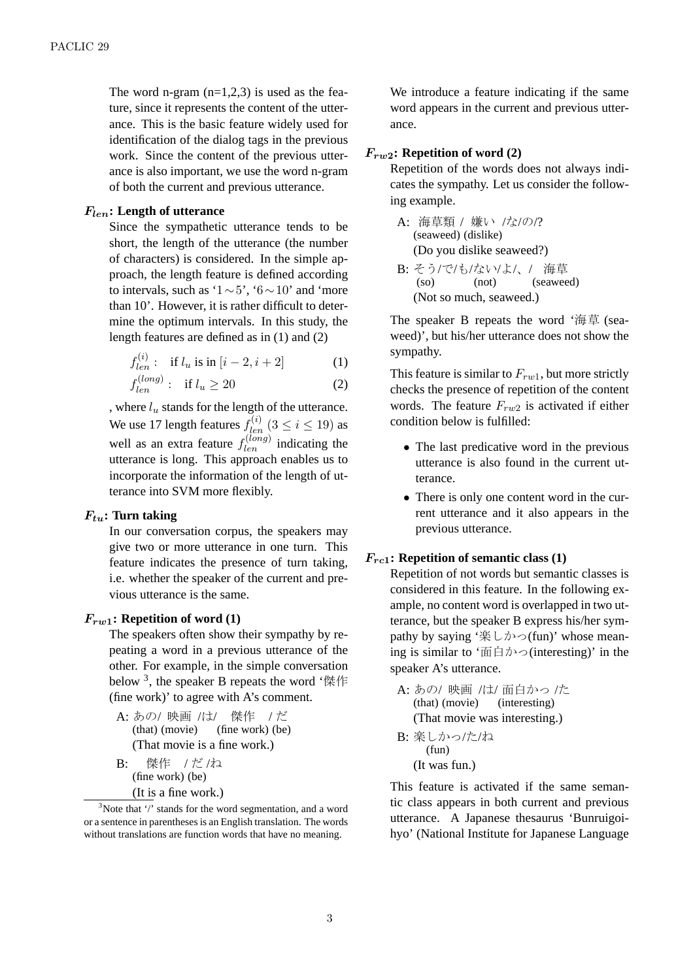The word n-gram  $(n=1,2,3)$  is used as the feature, since it represents the content of the utterance. This is the basic feature widely used for identification of the dialog tags in the previous work. Since the content of the previous utterance is also important, we use the word n-gram of both the current and previous utterance.

### *Flen***: Length of utterance**

Since the sympathetic utterance tends to be short, the length of the utterance (the number of characters) is considered. In the simple approach, the length feature is defined according to intervals, such as '1*∼*5', '6*∼*10' and 'more than 10'. However, it is rather difficult to determine the optimum intervals. In this study, the length features are defined as in (1) and (2)

$$
f_{len}^{(i)}: \text{ if } l_u \text{ is in } [i-2, i+2] \tag{1}
$$

$$
f_{len}^{(long)}: \quad \text{if } l_u \ge 20 \tag{2}
$$

, where *l<sup>u</sup>* stands for the length of the utterance. We use 17 length features  $f_{len}^{(i)}$   $(3 \le i \le 19)$  as well as an extra feature  $f_{len}^{(long)}$  indicating the utterance is long. This approach enables us to incorporate the information of the length of utterance into SVM more flexibly.

## *Ftu***: Turn taking**

In our conversation corpus, the speakers may give two or more utterance in one turn. This feature indicates the presence of turn taking, i.e. whether the speaker of the current and previous utterance is the same.

#### *Frw***1: Repetition of word (1)**

The speakers often show their sympathy by repeating a word in a previous utterance of the other. For example, in the simple conversation below<sup>3</sup>, the speaker B repeats the word '傑作 (fine work)' to agree with A's comment.

- A: あの/ 映画 /は/ 傑作 /だ (that) (movie) (fine work) (be) (That movie is a fine work.)
- B: 傑作 /だ/ね (fine work) (be) (It is a fine work.)

We introduce a feature indicating if the same word appears in the current and previous utterance.

#### *Frw***2: Repetition of word (2)**

Repetition of the words does not always indicates the sympathy. Let us consider the following example.

- A: 海草類 / 嫌い /な/の/? (seaweed) (dislike) (Do you dislike seaweed?) B: そう/で/も/ない/よ/、/ 海草
- (so) (not) (seaweed) (Not so much, seaweed.)

The speaker B repeats the word '海草 (seaweed)', but his/her utterance does not show the sympathy.

This feature is similar to *Frw*1, but more strictly checks the presence of repetition of the content words. The feature *Frw*<sup>2</sup> is activated if either condition below is fulfilled:

- The last predicative word in the previous utterance is also found in the current utterance.
- There is only one content word in the current utterance and it also appears in the previous utterance.

### *Frc***1: Repetition of semantic class (1)**

Repetition of not words but semantic classes is considered in this feature. In the following example, no content word is overlapped in two utterance, but the speaker B express his/her sympathy by saying '楽しかっ(fun)' whose meaning is similar to '面白かっ(interesting)' in the speaker A's utterance.

A: あの/ 映画 /は/ 面白かっ /た (that) (movie) (interesting) (That movie was interesting.) B: 楽しかっ /た/ね

(fun) (It was fun.)

This feature is activated if the same semantic class appears in both current and previous utterance. A Japanese thesaurus 'Bunruigoihyo' (National Institute for Japanese Language

<sup>&</sup>lt;sup>3</sup>Note that '/' stands for the word segmentation, and a word or a sentence in parentheses is an English translation. The words without translations are function words that have no meaning.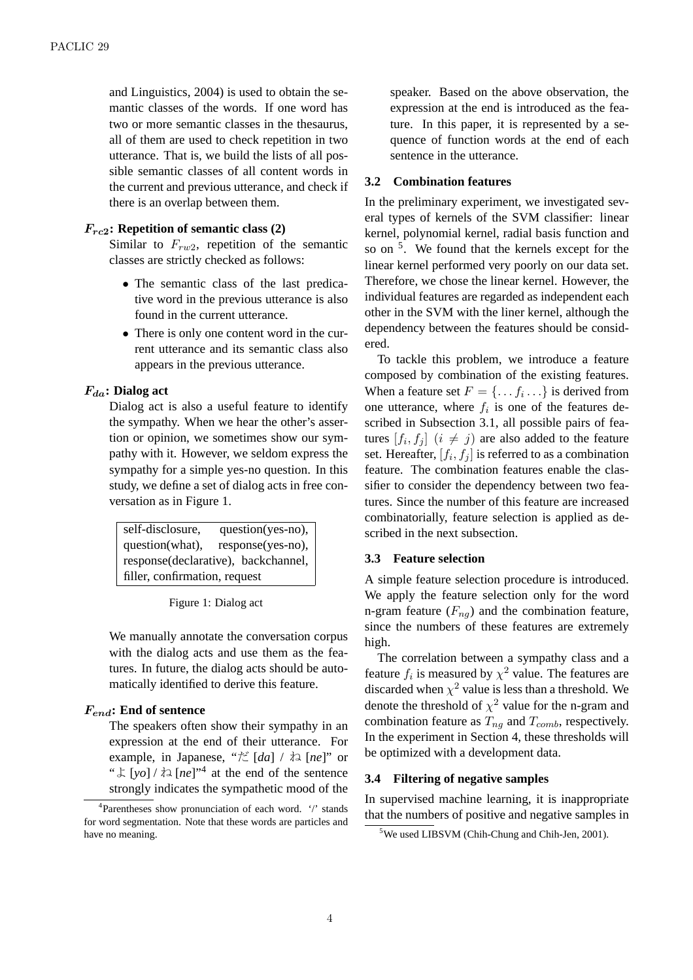and Linguistics, 2004) is used to obtain the semantic classes of the words. If one word has two or more semantic classes in the thesaurus, all of them are used to check repetition in two utterance. That is, we build the lists of all possible semantic classes of all content words in the current and previous utterance, and check if there is an overlap between them.

### *Frc***2: Repetition of semantic class (2)**

Similar to *Frw*2, repetition of the semantic classes are strictly checked as follows:

- *•* The semantic class of the last predicative word in the previous utterance is also found in the current utterance.
- There is only one content word in the current utterance and its semantic class also appears in the previous utterance.

### *Fda***: Dialog act**

Dialog act is also a useful feature to identify the sympathy. When we hear the other's assertion or opinion, we sometimes show our sympathy with it. However, we seldom express the sympathy for a simple yes-no question. In this study, we define a set of dialog acts in free conversation as in Figure 1.

| self-disclosure,              | question(yes-no),                   |  |  |
|-------------------------------|-------------------------------------|--|--|
| question(what),               | response(yes-no),                   |  |  |
|                               | response(declarative), backchannel, |  |  |
| filler, confirmation, request |                                     |  |  |

Figure 1: Dialog act

We manually annotate the conversation corpus with the dialog acts and use them as the features. In future, the dialog acts should be automatically identified to derive this feature.

## *Fend***: End of sentence**

The speakers often show their sympathy in an expression at the end of their utterance. For example, in Japanese, "だ [*da*] / ね [*ne*]" or " $\downarrow$  [*yo*] /  $\uparrow$  alleq [*ne*]"<sup>4</sup> at the end of the sentence strongly indicates the sympathetic mood of the

speaker. Based on the above observation, the expression at the end is introduced as the feature. In this paper, it is represented by a sequence of function words at the end of each sentence in the utterance.

### **3.2 Combination features**

In the preliminary experiment, we investigated several types of kernels of the SVM classifier: linear kernel, polynomial kernel, radial basis function and so on <sup>5</sup>. We found that the kernels except for the linear kernel performed very poorly on our data set. Therefore, we chose the linear kernel. However, the individual features are regarded as independent each other in the SVM with the liner kernel, although the dependency between the features should be considered.

To tackle this problem, we introduce a feature composed by combination of the existing features. When a feature set  $F = \{ \ldots f_i \ldots \}$  is derived from one utterance, where  $f_i$  is one of the features described in Subsection 3.1, all possible pairs of features  $[f_i, f_j]$   $(i \neq j)$  are also added to the feature set. Hereafter,  $[f_i, f_j]$  is referred to as a combination feature. The combination features enable the classifier to consider the dependency between two features. Since the number of this feature are increased combinatorially, feature selection is applied as described in the next subsection.

#### **3.3 Feature selection**

A simple feature selection procedure is introduced. We apply the feature selection only for the word n-gram feature  $(F_{nq})$  and the combination feature, since the numbers of these features are extremely high.

The correlation between a sympathy class and a feature  $f_i$  is measured by  $\chi^2$  value. The features are discarded when  $\chi^2$  value is less than a threshold. We denote the threshold of  $\chi^2$  value for the n-gram and combination feature as *Tng* and *Tcomb*, respectively. In the experiment in Section 4, these thresholds will be optimized with a development data.

#### **3.4 Filtering of negative samples**

In supervised machine learning, it is inappropriate that the numbers of positive and negative samples in

<sup>&</sup>lt;sup>4</sup>Parentheses show pronunciation of each word. '/' stands for word segmentation. Note that these words are particles and have no meaning.

<sup>&</sup>lt;sup>5</sup>We used LIBSVM (Chih-Chung and Chih-Jen, 2001).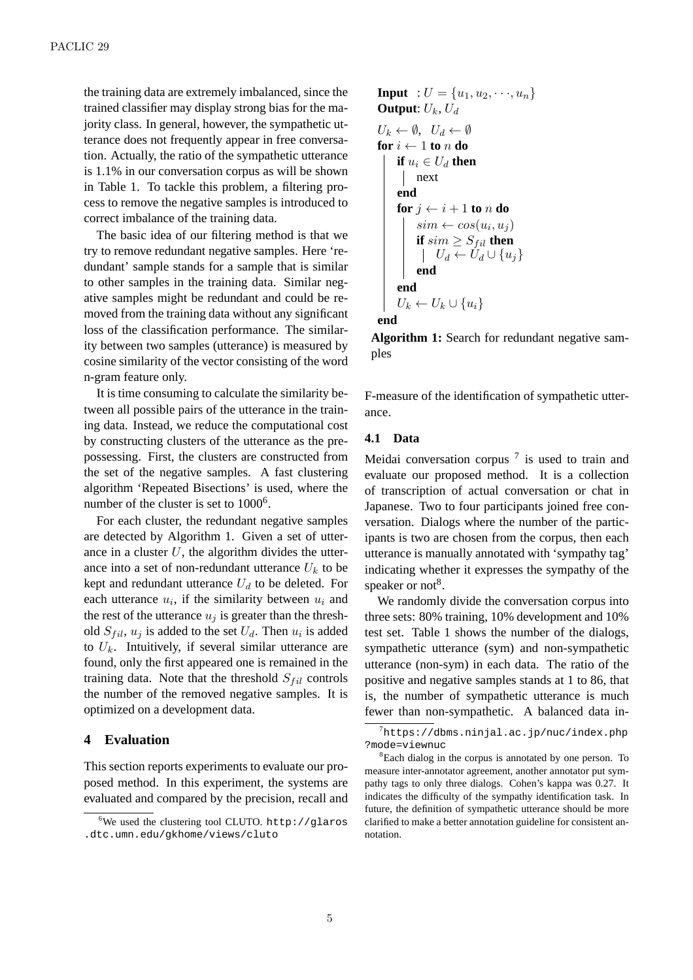the training data are extremely imbalanced, since the trained classifier may display strong bias for the majority class. In general, however, the sympathetic utterance does not frequently appear in free conversation. Actually, the ratio of the sympathetic utterance is 1.1% in our conversation corpus as will be shown in Table 1. To tackle this problem, a filtering process to remove the negative samples is introduced to correct imbalance of the training data.

The basic idea of our filtering method is that we try to remove redundant negative samples. Here 'redundant' sample stands for a sample that is similar to other samples in the training data. Similar negative samples might be redundant and could be removed from the training data without any significant loss of the classification performance. The similarity between two samples (utterance) is measured by cosine similarity of the vector consisting of the word n-gram feature only.

It is time consuming to calculate the similarity between all possible pairs of the utterance in the training data. Instead, we reduce the computational cost by constructing clusters of the utterance as the prepossessing. First, the clusters are constructed from the set of the negative samples. A fast clustering algorithm 'Repeated Bisections' is used, where the number of the cluster is set to 1000<sup>6</sup>.

For each cluster, the redundant negative samples are detected by Algorithm 1. Given a set of utterance in a cluster *U*, the algorithm divides the utterance into a set of non-redundant utterance  $U_k$  to be kept and redundant utterance *U<sup>d</sup>* to be deleted. For each utterance  $u_i$ , if the similarity between  $u_i$  and the rest of the utterance  $u_j$  is greater than the threshold  $S_{fil}$ ,  $u_j$  is added to the set  $U_d$ . Then  $u_i$  is added to  $U_k$ . Intuitively, if several similar utterance are found, only the first appeared one is remained in the training data. Note that the threshold  $S_{fil}$  controls the number of the removed negative samples. It is optimized on a development data.

### **4 Evaluation**

This section reports experiments to evaluate our proposed method. In this experiment, the systems are evaluated and compared by the precision, recall and

**Input** : 
$$
U = \{u_1, u_2, \dots, u_n\}
$$
  
\n**Output**:  $U_k, U_d$   
\n $U_k \leftarrow \emptyset$ ,  $U_d \leftarrow \emptyset$   
\n**for**  $i \leftarrow 1$  **to**  $n$  **do**  
\n**if**  $u_i \in U_d$  **then**  
\n**next**  
\n**end**  
\n**for**  $j \leftarrow i + 1$  **to**  $n$  **do**  
\n**isim**  $\leftarrow cos(u_i, u_j)$   
\n**if**  $sim \geq S_{fil}$  **then**  
\n**if**  $U_d \leftarrow U_d \cup \{u_j\}$   
\n**end**  
\n**end**  
\n**end**  
\n $U_k \leftarrow U_k \cup \{u_i\}$   
\n**end**

**Algorithm 1:** Search for redundant negative samples

F-measure of the identification of sympathetic utterance.

### **4.1 Data**

Meidai conversation corpus  $<sup>7</sup>$  is used to train and</sup> evaluate our proposed method. It is a collection of transcription of actual conversation or chat in Japanese. Two to four participants joined free conversation. Dialogs where the number of the participants is two are chosen from the corpus, then each utterance is manually annotated with 'sympathy tag' indicating whether it expresses the sympathy of the speaker or not<sup>8</sup>.

We randomly divide the conversation corpus into three sets: 80% training, 10% development and 10% test set. Table 1 shows the number of the dialogs, sympathetic utterance (sym) and non-sympathetic utterance (non-sym) in each data. The ratio of the positive and negative samples stands at 1 to 86, that is, the number of sympathetic utterance is much fewer than non-sympathetic. A balanced data in-

<sup>6</sup>We used the clustering tool CLUTO. http://glaros .dtc.umn.edu/gkhome/views/cluto

 $^{7}$ https://dbms.ninjal.ac.jp/nuc/index.php ?mode=viewnuc

<sup>8</sup>Each dialog in the corpus is annotated by one person. To measure inter-annotator agreement, another annotator put sympathy tags to only three dialogs. Cohen's kappa was 0.27. It indicates the difficulty of the sympathy identification task. In future, the definition of sympathetic utterance should be more clarified to make a better annotation guideline for consistent annotation.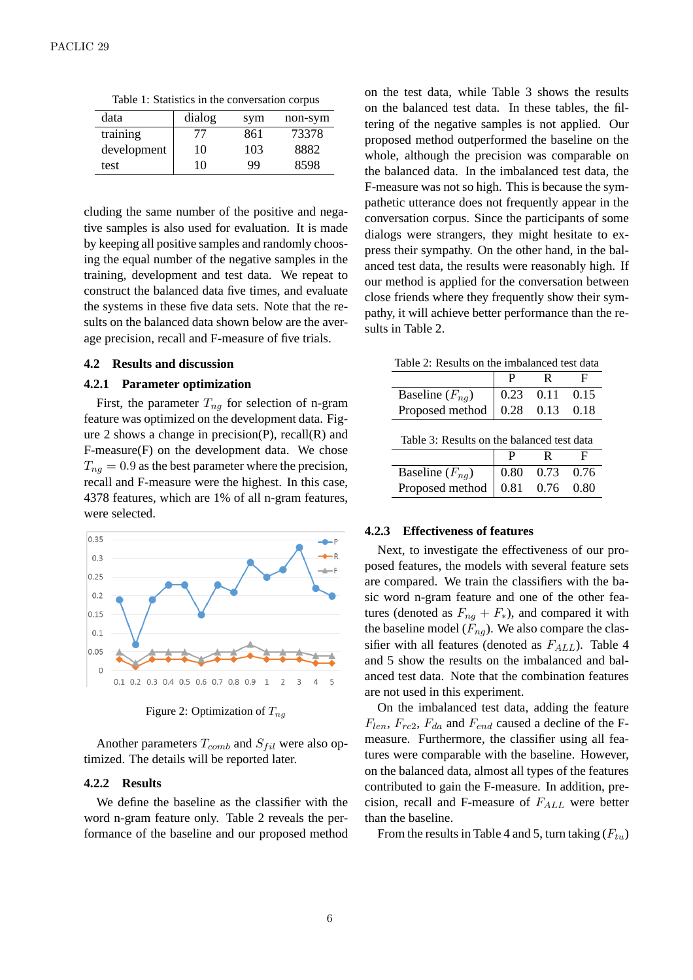Table 1: Statistics in the conversation corpus

| data        | dialog | sym | non-sym |
|-------------|--------|-----|---------|
| training    | 77     | 861 | 73378   |
| development | 10     | 103 | 8882    |
| test        | 10     | 99  | 8598    |

cluding the same number of the positive and negative samples is also used for evaluation. It is made by keeping all positive samples and randomly choosing the equal number of the negative samples in the training, development and test data. We repeat to construct the balanced data five times, and evaluate the systems in these five data sets. Note that the results on the balanced data shown below are the average precision, recall and F-measure of five trials.

#### **4.2 Results and discussion**

#### **4.2.1 Parameter optimization**

First, the parameter  $T_{nq}$  for selection of n-gram feature was optimized on the development data. Figure 2 shows a change in precision $(P)$ , recall $(R)$  and F-measure(F) on the development data. We chose  $T_{ng} = 0.9$  as the best parameter where the precision, recall and F-measure were the highest. In this case, 4378 features, which are 1% of all n-gram features, were selected.



Figure 2: Optimization of *Tng*

Another parameters  $T_{comb}$  and  $S_{fil}$  were also optimized. The details will be reported later.

#### **4.2.2 Results**

We define the baseline as the classifier with the word n-gram feature only. Table 2 reveals the performance of the baseline and our proposed method on the test data, while Table 3 shows the results on the balanced test data. In these tables, the filtering of the negative samples is not applied. Our proposed method outperformed the baseline on the whole, although the precision was comparable on the balanced data. In the imbalanced test data, the F-measure was not so high. This is because the sympathetic utterance does not frequently appear in the conversation corpus. Since the participants of some dialogs were strangers, they might hesitate to express their sympathy. On the other hand, in the balanced test data, the results were reasonably high. If our method is applied for the conversation between close friends where they frequently show their sympathy, it will achieve better performance than the results in Table 2.

|                                            |  | R                            |      |  |  |
|--------------------------------------------|--|------------------------------|------|--|--|
| Baseline $(F_{nq})$                        |  | $0.23$ 0.11                  | 0.15 |  |  |
| Proposed method                            |  | $0.28$ 0.13 0.18             |      |  |  |
| Table 3: Results on the balanced test data |  |                              |      |  |  |
|                                            |  |                              |      |  |  |
| Baseline $(F_{na})$                        |  | $0.80 \quad 0.73 \quad 0.76$ |      |  |  |

Proposed method  $\vert 0.81 \quad 0.76 \quad 0.80$ 

#### **4.2.3 Effectiveness of features**

Next, to investigate the effectiveness of our proposed features, the models with several feature sets are compared. We train the classifiers with the basic word n-gram feature and one of the other features (denoted as  $F_{na} + F_*$ ), and compared it with the baseline model  $(F_{nq})$ . We also compare the classifier with all features (denoted as *FALL*). Table 4 and 5 show the results on the imbalanced and balanced test data. Note that the combination features are not used in this experiment.

On the imbalanced test data, adding the feature *Flen*, *Frc*2, *Fda* and *Fend* caused a decline of the Fmeasure. Furthermore, the classifier using all features were comparable with the baseline. However, on the balanced data, almost all types of the features contributed to gain the F-measure. In addition, precision, recall and F-measure of *FALL* were better than the baseline.

From the results in Table 4 and 5, turn taking (*Ftu*)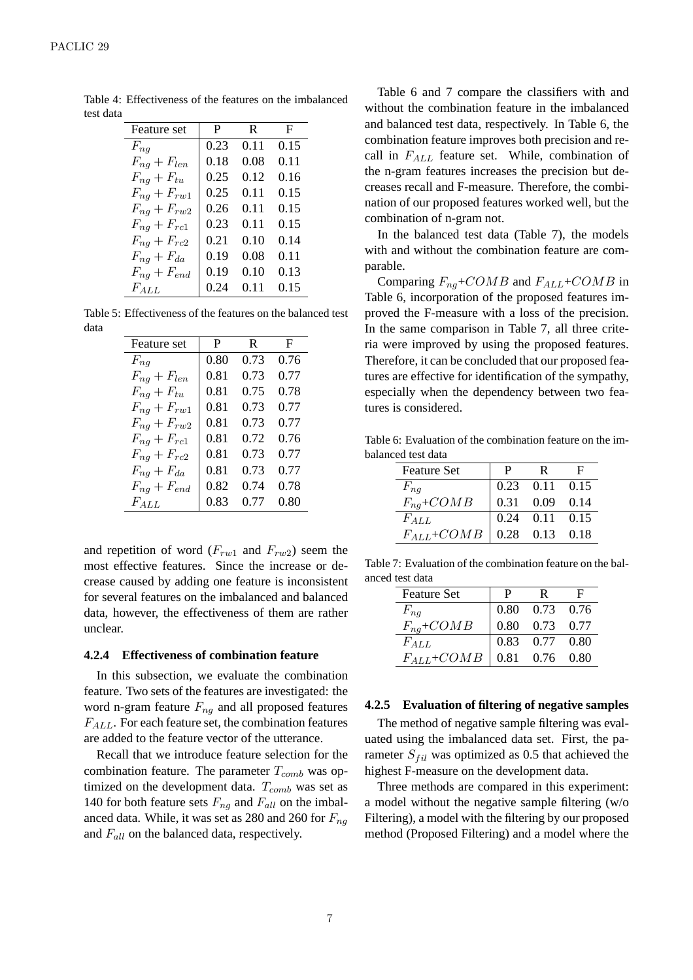| Feature set        | P    | R    | F    |
|--------------------|------|------|------|
| $F_{ng}$           | 0.23 | 0.11 | 0.15 |
| $F_{nq} + F_{len}$ | 0.18 | 0.08 | 0.11 |
| $F_{nq} + F_{tu}$  | 0.25 | 0.12 | 0.16 |
| $F_{ng} + F_{rw1}$ | 0.25 | 0.11 | 0.15 |
| $F_{nq}+F_{rw2}$   | 0.26 | 0.11 | 0.15 |
| $F_{nq}+F_{r c1}$  | 0.23 | 0.11 | 0.15 |
| $F_{nq}+F_{rc2}$   | 0.21 | 0.10 | 0.14 |
| $F_{nq} + F_{da}$  | 0.19 | 0.08 | 0.11 |
| $F_{nq} + F_{end}$ | 0.19 | 0.10 | 0.13 |
| $F_{\textit{ALL}}$ | 0.24 | 0.11 | 0.15 |

Table 4: Effectiveness of the features on the imbalanced test data

Table 5: Effectiveness of the features on the balanced test data

| <b>Feature</b> set | P    | R    | F    |
|--------------------|------|------|------|
| $F_{ng}$           | 0.80 | 0.73 | 0.76 |
| $F_{nq} + F_{len}$ | 0.81 | 0.73 | 0.77 |
| $F_{nq} + F_{tu}$  | 0.81 | 0.75 | 0.78 |
| $F_{nq}+F_{rw1}$   | 0.81 | 0.73 | 0.77 |
| $F_{nq}+F_{rw2}$   | 0.81 | 0.73 | 0 77 |
| $F_{nq}+F_{r c1}$  | 0.81 | 0.72 | በ 76 |
| $F_{nq}+F_{rc2}$   | 0.81 | 0.73 | 0.77 |
| $F_{nq}+F_{da}$    | 0.81 | 0.73 | 0.77 |
| $F_{nq} + F_{end}$ | 0.82 | 0.74 | 0.78 |
| $F_{ALL}$          | 0.83 | 0.77 | 0.80 |

and repetition of word  $(F_{rw1}$  and  $F_{rw2}$ ) seem the most effective features. Since the increase or decrease caused by adding one feature is inconsistent for several features on the imbalanced and balanced data, however, the effectiveness of them are rather unclear.

#### **4.2.4 Effectiveness of combination feature**

In this subsection, we evaluate the combination feature. Two sets of the features are investigated: the word n-gram feature *Fng* and all proposed features *FALL*. For each feature set, the combination features are added to the feature vector of the utterance.

Recall that we introduce feature selection for the combination feature. The parameter  $T_{comb}$  was optimized on the development data. *Tcomb* was set as 140 for both feature sets  $F_{nq}$  and  $F_{all}$  on the imbalanced data. While, it was set as 280 and 260 for *Fng* and *Fall* on the balanced data, respectively.

Table 6 and 7 compare the classifiers with and without the combination feature in the imbalanced and balanced test data, respectively. In Table 6, the combination feature improves both precision and recall in *FALL* feature set. While, combination of the n-gram features increases the precision but decreases recall and F-measure. Therefore, the combination of our proposed features worked well, but the combination of n-gram not.

In the balanced test data (Table 7), the models with and without the combination feature are comparable.

Comparing *Fng*+*COMB* and *FALL*+*COMB* in Table 6, incorporation of the proposed features improved the F-measure with a loss of the precision. In the same comparison in Table 7, all three criteria were improved by using the proposed features. Therefore, it can be concluded that our proposed features are effective for identification of the sympathy, especially when the dependency between two features is considered.

Table 6: Evaluation of the combination feature on the imbalanced test data

| <b>Feature Set</b>              | P | R                    |  |
|---------------------------------|---|----------------------|--|
| $F_{nq}$                        |   | $0.23$ $0.11$ $0.15$ |  |
| $F_{nq}$ +COMB                  |   | $0.31$ $0.09$ $0.14$ |  |
| $F_{ALL}$                       |   | $0.24$ $0.11$ $0.15$ |  |
| $F_{ALL} + COMB$ 0.28 0.13 0.18 |   |                      |  |

Table 7: Evaluation of the combination feature on the balanced test data

| <b>Feature Set</b> | P. | -R                           |  |
|--------------------|----|------------------------------|--|
| $F_{nq}$           |    | $0.80$ $0.73$ $0.76$         |  |
| $F_{nq}$ +COMB     |    | $0.80 \quad 0.73 \quad 0.77$ |  |
| $F_{ALL}$          |    | 0.83 0.77 0.80               |  |
| $F_{ALL}$ +COMB    |    | $0.81$ 0.76 0.80             |  |

#### **4.2.5 Evaluation of filtering of negative samples**

The method of negative sample filtering was evaluated using the imbalanced data set. First, the parameter  $S_{fil}$  was optimized as 0.5 that achieved the highest F-measure on the development data.

Three methods are compared in this experiment: a model without the negative sample filtering (w/o Filtering), a model with the filtering by our proposed method (Proposed Filtering) and a model where the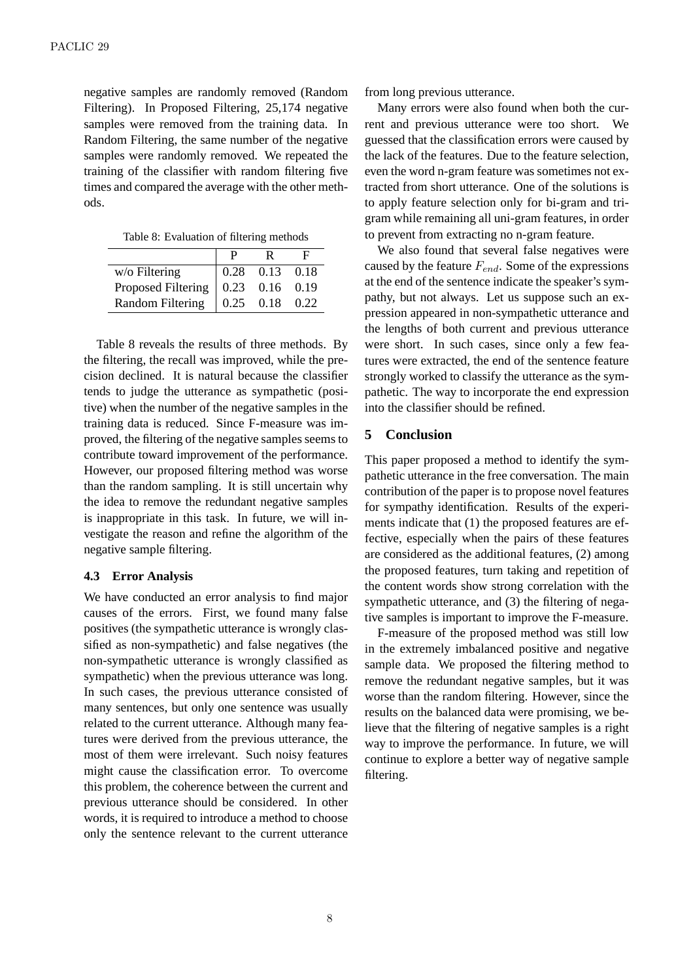negative samples are randomly removed (Random Filtering). In Proposed Filtering, 25,174 negative samples were removed from the training data. In Random Filtering, the same number of the negative samples were randomly removed. We repeated the training of the classifier with random filtering five times and compared the average with the other methods.

Table 8: Evaluation of filtering methods

| $w$ /o Filtering        | 0.28 | $0.13$ 0.18      |      |
|-------------------------|------|------------------|------|
| Proposed Filtering      |      | $0.23$ 0.16 0.19 |      |
| <b>Random Filtering</b> |      | $0.25$ 0.18      | 0.22 |

Table 8 reveals the results of three methods. By the filtering, the recall was improved, while the precision declined. It is natural because the classifier tends to judge the utterance as sympathetic (positive) when the number of the negative samples in the training data is reduced. Since F-measure was improved, the filtering of the negative samples seems to contribute toward improvement of the performance. However, our proposed filtering method was worse than the random sampling. It is still uncertain why the idea to remove the redundant negative samples is inappropriate in this task. In future, we will investigate the reason and refine the algorithm of the negative sample filtering.

#### **4.3 Error Analysis**

We have conducted an error analysis to find major causes of the errors. First, we found many false positives (the sympathetic utterance is wrongly classified as non-sympathetic) and false negatives (the non-sympathetic utterance is wrongly classified as sympathetic) when the previous utterance was long. In such cases, the previous utterance consisted of many sentences, but only one sentence was usually related to the current utterance. Although many features were derived from the previous utterance, the most of them were irrelevant. Such noisy features might cause the classification error. To overcome this problem, the coherence between the current and previous utterance should be considered. In other words, it is required to introduce a method to choose only the sentence relevant to the current utterance from long previous utterance.

Many errors were also found when both the current and previous utterance were too short. We guessed that the classification errors were caused by the lack of the features. Due to the feature selection, even the word n-gram feature was sometimes not extracted from short utterance. One of the solutions is to apply feature selection only for bi-gram and trigram while remaining all uni-gram features, in order to prevent from extracting no n-gram feature.

We also found that several false negatives were caused by the feature *Fend*. Some of the expressions at the end of the sentence indicate the speaker's sympathy, but not always. Let us suppose such an expression appeared in non-sympathetic utterance and the lengths of both current and previous utterance were short. In such cases, since only a few features were extracted, the end of the sentence feature strongly worked to classify the utterance as the sympathetic. The way to incorporate the end expression into the classifier should be refined.

## **5 Conclusion**

This paper proposed a method to identify the sympathetic utterance in the free conversation. The main contribution of the paper is to propose novel features for sympathy identification. Results of the experiments indicate that (1) the proposed features are effective, especially when the pairs of these features are considered as the additional features, (2) among the proposed features, turn taking and repetition of the content words show strong correlation with the sympathetic utterance, and (3) the filtering of negative samples is important to improve the F-measure.

F-measure of the proposed method was still low in the extremely imbalanced positive and negative sample data. We proposed the filtering method to remove the redundant negative samples, but it was worse than the random filtering. However, since the results on the balanced data were promising, we believe that the filtering of negative samples is a right way to improve the performance. In future, we will continue to explore a better way of negative sample filtering.